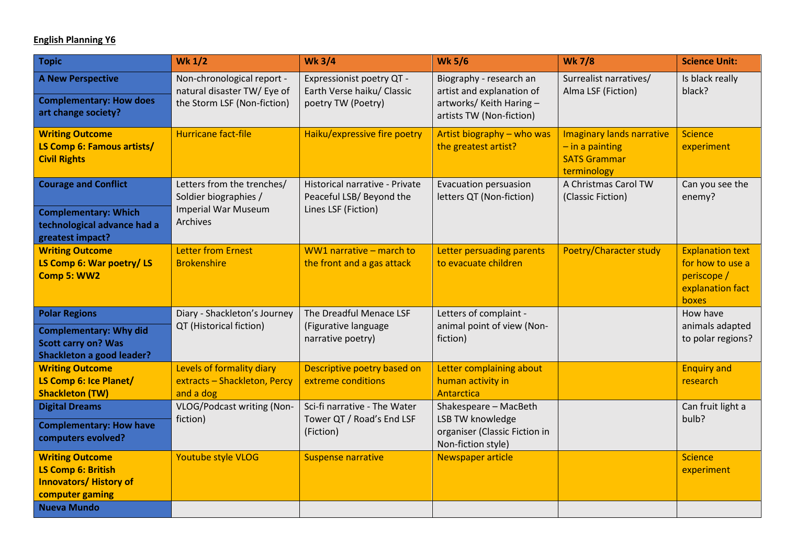## **English Planning Y6**

| <b>Topic</b>                                                                                                            | <b>Wk 1/2</b>                                                                                 | <b>Wk 3/4</b>                                                                     | <b>Wk 5/6</b>                                                                                                | <b>Wk 7/8</b>                                                                               | <b>Science Unit:</b>                                                                    |
|-------------------------------------------------------------------------------------------------------------------------|-----------------------------------------------------------------------------------------------|-----------------------------------------------------------------------------------|--------------------------------------------------------------------------------------------------------------|---------------------------------------------------------------------------------------------|-----------------------------------------------------------------------------------------|
| <b>A New Perspective</b><br><b>Complementary: How does</b><br>art change society?                                       | Non-chronological report -<br>natural disaster TW/ Eye of<br>the Storm LSF (Non-fiction)      | Expressionist poetry QT -<br>Earth Verse haiku/ Classic<br>poetry TW (Poetry)     | Biography - research an<br>artist and explanation of<br>artworks/ Keith Haring -<br>artists TW (Non-fiction) | Surrealist narratives/<br>Alma LSF (Fiction)                                                | Is black really<br>black?                                                               |
| <b>Writing Outcome</b><br>LS Comp 6: Famous artists/<br><b>Civil Rights</b>                                             | <b>Hurricane fact-file</b>                                                                    | Haiku/expressive fire poetry                                                      | Artist biography - who was<br>the greatest artist?                                                           | <b>Imaginary lands narrative</b><br>$-$ in a painting<br><b>SATS Grammar</b><br>terminology | <b>Science</b><br>experiment                                                            |
| <b>Courage and Conflict</b><br><b>Complementary: Which</b><br>technological advance had a<br>greatest impact?           | Letters from the trenches/<br>Soldier biographies /<br><b>Imperial War Museum</b><br>Archives | Historical narrative - Private<br>Peaceful LSB/ Beyond the<br>Lines LSF (Fiction) | Evacuation persuasion<br>letters QT (Non-fiction)                                                            | A Christmas Carol TW<br>(Classic Fiction)                                                   | Can you see the<br>enemy?                                                               |
| <b>Writing Outcome</b><br>LS Comp 6: War poetry/ LS<br>Comp 5: WW2                                                      | <b>Letter from Ernest</b><br><b>Brokenshire</b>                                               | WW1 narrative - march to<br>the front and a gas attack                            | Letter persuading parents<br>to evacuate children                                                            | Poetry/Character study                                                                      | <b>Explanation text</b><br>for how to use a<br>periscope /<br>explanation fact<br>boxes |
| <b>Polar Regions</b><br><b>Complementary: Why did</b><br><b>Scott carry on? Was</b><br><b>Shackleton a good leader?</b> | Diary - Shackleton's Journey<br>QT (Historical fiction)                                       | The Dreadful Menace LSF<br>(Figurative language<br>narrative poetry)              | Letters of complaint -<br>animal point of view (Non-<br>fiction)                                             |                                                                                             | How have<br>animals adapted<br>to polar regions?                                        |
| <b>Writing Outcome</b><br>LS Comp 6: Ice Planet/<br><b>Shackleton (TW)</b>                                              | Levels of formality diary<br>extracts - Shackleton, Percy<br>and a dog                        | Descriptive poetry based on<br>extreme conditions                                 | Letter complaining about<br>human activity in<br>Antarctica                                                  |                                                                                             | <b>Enquiry and</b><br>research                                                          |
| <b>Digital Dreams</b><br><b>Complementary: How have</b><br>computers evolved?                                           | VLOG/Podcast writing (Non-<br>fiction)                                                        | Sci-fi narrative - The Water<br>Tower QT / Road's End LSF<br>(Fiction)            | Shakespeare - MacBeth<br>LSB TW knowledge<br>organiser (Classic Fiction in<br>Non-fiction style)             |                                                                                             | Can fruit light a<br>bulb?                                                              |
| <b>Writing Outcome</b><br><b>LS Comp 6: British</b><br><b>Innovators/ History of</b><br>computer gaming                 | Youtube style VLOG                                                                            | <b>Suspense narrative</b>                                                         | Newspaper article                                                                                            |                                                                                             | <b>Science</b><br>experiment                                                            |
| <b>Nueva Mundo</b>                                                                                                      |                                                                                               |                                                                                   |                                                                                                              |                                                                                             |                                                                                         |